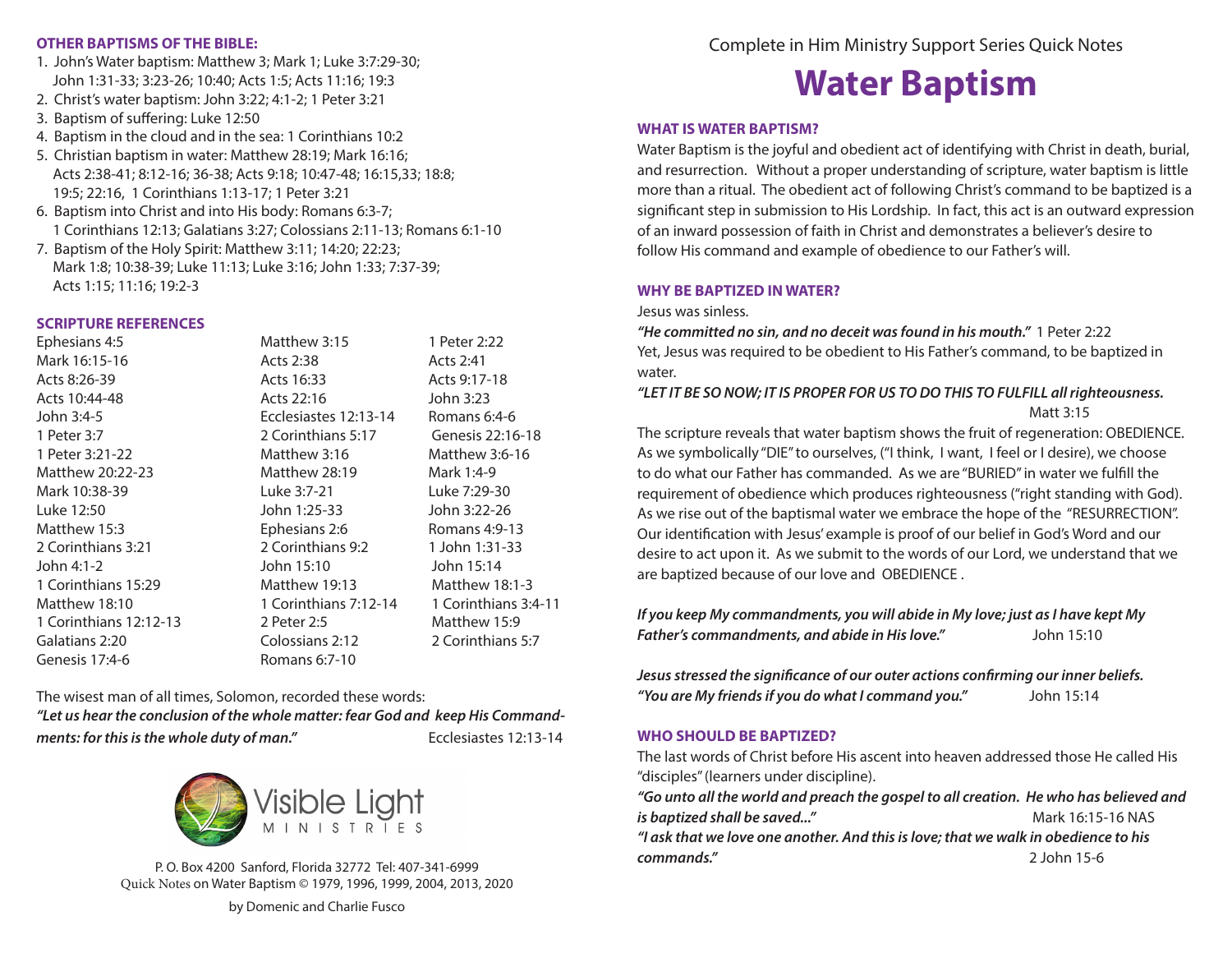#### **OTHER BAPTISMS OF THE BIBLE:**

- 1. John's Water baptism: Matthew 3; Mark 1; Luke 3:7:29-30; John 1:31-33; 3:23-26; 10:40; Acts 1:5; Acts 11:16; 19:3
- 2. Christ's water baptism: John 3:22; 4:1-2; 1 Peter 3:21
- 3. Baptism of suffering: Luke 12:50
- 4. Baptism in the cloud and in the sea: 1 Corinthians 10:2
- 5. Christian baptism in water: Matthew 28:19; Mark 16:16; Acts 2:38-41; 8:12-16; 36-38; Acts 9:18; 10:47-48; 16:15,33; 18:8; 19:5; 22:16, 1 Corinthians 1:13-17; 1 Peter 3:21
- 6. Baptism into Christ and into His body: Romans 6:3-7; 1 Corinthians 12:13; Galatians 3:27; Colossians 2:11-13; Romans 6:1-10
- 7. Baptism of the Holy Spirit: Matthew 3:11; 14:20; 22:23; Mark 1:8; 10:38-39; Luke 11:13; Luke 3:16; John 1:33; 7:37-39; Acts 1:15; 11:16; 19:2-3

# **SCRIPTURE REFERENCES**

| Ephesians 4:5          | Matthew 3:15          | 1 Peter 2:22         |
|------------------------|-----------------------|----------------------|
| Mark 16:15-16          | Acts 2:38             | Acts 2:41            |
| Acts 8:26-39           | Acts 16:33            | Acts 9:17-18         |
| Acts 10:44-48          | Acts 22:16            | John 3:23            |
| John 3:4-5             | Ecclesiastes 12:13-14 | Romans 6:4-6         |
| 1 Peter 3:7            | 2 Corinthians 5:17    | Genesis 22:16-18     |
| 1 Peter 3:21-22        | Matthew 3:16          | Matthew 3:6-16       |
| Matthew 20:22-23       | Matthew 28:19         | Mark 1:4-9           |
| Mark 10:38-39          | Luke 3:7-21           | Luke 7:29-30         |
| Luke 12:50             | John 1:25-33          | John 3:22-26         |
| Matthew 15:3           | Ephesians 2:6         | Romans 4:9-13        |
| 2 Corinthians 3:21     | 2 Corinthians 9:2     | 1 John 1:31-33       |
| John 4:1-2             | John 15:10            | John 15:14           |
| 1 Corinthians 15:29    | Matthew 19:13         | Matthew 18:1-3       |
| Matthew 18:10          | 1 Corinthians 7:12-14 | 1 Corinthians 3:4-11 |
| 1 Corinthians 12:12-13 | 2 Peter 2:5           | Matthew 15:9         |
| Galatians 2:20         | Colossians 2:12       | 2 Corinthians 5:7    |
| Genesis 17:4-6         | Romans 6:7-10         |                      |
|                        |                       |                      |

The wisest man of all times, Solomon, recorded these words:

*"Let us hear the conclusion of the whole matter: fear God and keep His Commandments: for this is the whole duty of man."* Ecclesiastes 12:13-14



P. O. Box 4200 Sanford, Florida 32772 Tel: 407-341-6999 Quick Notes on Water Baptism © 1979, 1996, 1999, 2004, 2013, 2020

by Domenic and Charlie Fusco

# **Water Baptism**

# **WHAT IS WATER BAPTISM?**

Water Baptism is the joyful and obedient act of identifying with Christ in death, burial, and resurrection. Without a proper understanding of scripture, water baptism is little more than a ritual. The obedient act of following Christ's command to be baptized is a significant step in submission to His Lordship. In fact, this act is an outward expression of an inward possession of faith in Christ and demonstrates a believer's desire to follow His command and example of obedience to our Father's will.

### **WHY BE BAPTIZED IN WATER?**

Jesus was sinless.

*"He committed no sin, and no deceit was found in his mouth."* 1 Peter 2:22 Yet, Jesus was required to be obedient to His Father's command, to be baptized in water.

# *"LET IT BE SO NOW; IT IS PROPER FOR US TO DO THIS TO FULFILL all righteousness.*  Matt 3:15

The scripture reveals that water baptism shows the fruit of regeneration: OBEDIENCE. As we symbolically "DIE" to ourselves, ("I think, I want, I feel or I desire), we choose to do what our Father has commanded. As we are "BURIED" in water we fulfill the requirement of obedience which produces righteousness ("right standing with God). As we rise out of the baptismal water we embrace the hope of the "RESURRECTION". Our identification with Jesus' example is proof of our belief in God's Word and our desire to act upon it. As we submit to the words of our Lord, we understand that we are baptized because of our love and OBEDIENCE .

# *If you keep My commandments, you will abide in My love; just as I have kept My Father's commandments, and abide in His love."* John 15:10

*Jesus stressed the significance of our outer actions confirming our inner beliefs. "You are My friends if you do what I command you."* John 15:14

# **WHO SHOULD BE BAPTIZED?**

The last words of Christ before His ascent into heaven addressed those He called His "disciples" (learners under discipline).

*"Go unto all the world and preach the gospel to all creation. He who has believed and is baptized shall be saved..."* Mark 16:15-16 NAS

*"I ask that we love one another. And this is love; that we walk in obedience to his commands."* 2 John 15-6